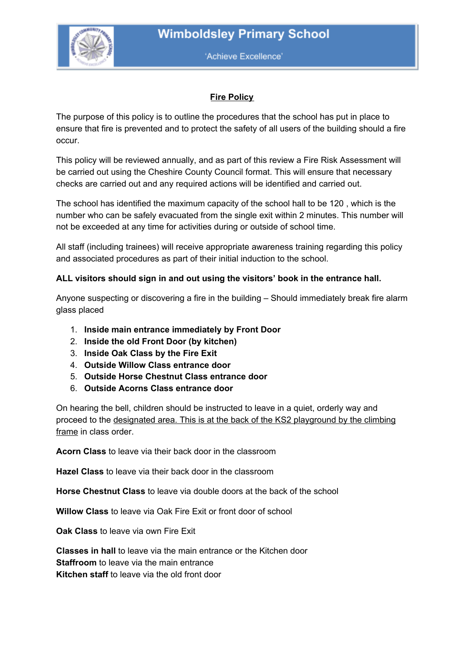

'Achieve Excellence'

## **Fire Policy**

The purpose of this policy is to outline the procedures that the school has put in place to ensure that fire is prevented and to protect the safety of all users of the building should a fire occur.

This policy will be reviewed annually, and as part of this review a Fire Risk Assessment will be carried out using the Cheshire County Council format. This will ensure that necessary checks are carried out and any required actions will be identified and carried out.

The school has identified the maximum capacity of the school hall to be 120 , which is the number who can be safely evacuated from the single exit within 2 minutes. This number will not be exceeded at any time for activities during or outside of school time.

All staff (including trainees) will receive appropriate awareness training regarding this policy and associated procedures as part of their initial induction to the school.

## **ALL visitors should sign in and out using the visitors' book in the entrance hall.**

Anyone suspecting or discovering a fire in the building – Should immediately break fire alarm glass placed

- 1. **Inside main entrance immediately by Front Door**
- 2. **Inside the old Front Door (by kitchen)**
- 3. **Inside Oak Class by the Fire Exit**
- 4. **Outside Willow Class entrance door**
- 5. **Outside Horse Chestnut Class entrance door**
- 6. **Outside Acorns Class entrance door**

On hearing the bell, children should be instructed to leave in a quiet, orderly way and proceed to the designated area. This is at the back of the KS2 playground by the climbing frame in class order.

**Acorn Class** to leave via their back door in the classroom

**Hazel Class** to leave via their back door in the classroom

**Horse Chestnut Class** to leave via double doors at the back of the school

**Willow Class** to leave via Oak Fire Exit or front door of school

**Oak Class** to leave via own Fire Exit

**Classes in hall** to leave via the main entrance or the Kitchen door **Staffroom** to leave via the main entrance **Kitchen staff** to leave via the old front door